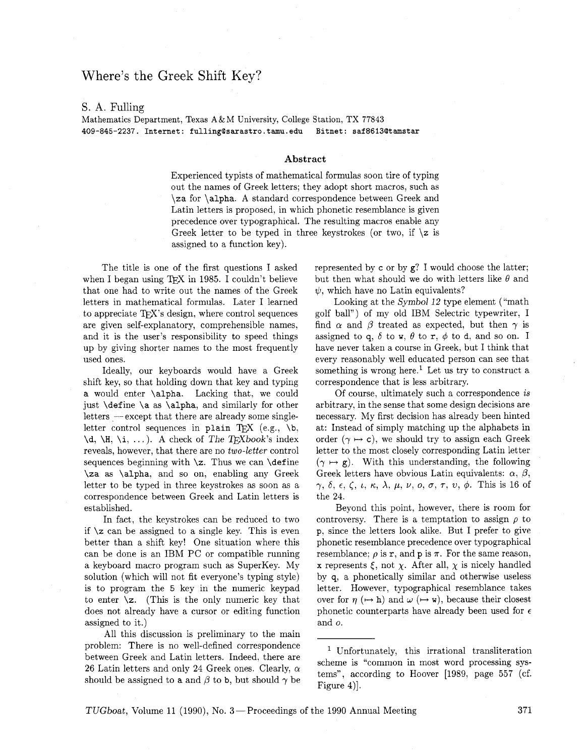# Where's the Greek Shift Key?

## S. A. Fulling

Mathematics Department, Texas **A&M** University, College Station, TX 77843 **409-845-2237. Internet: fullingBsarastro.tamu.edu Bitnet: saf8613Qtamstar** 

#### **Abstract**

Experienced typists of mathematical formulas soon tire of typing out the names of Greek letters; they adopt short macros, such as \za for \alpha. A standard correspondence between Greek and Latin letters is proposed, in which phonetic resemblance is given precedence over typographical. The resulting macros enable any Greek letter to be typed in three keystrokes (or two, if  $\zeta$  is assigned to a function key).

The title is one of the first questions I asked when I began using TFX in 1985. I couldn't believe that one had to write out the names of the Greek letters in mathematical formulas. Later I learned to appreciate T<sub>F</sub>X's design, where control sequences are given self-explanatory, comprehensible names. and it is the user's responsibility to speed things up by giving shorter names to the most frequently used ones.

Ideally, our keyboards would have a Greek shift key, so that holding down that key and typing a would enter \alpha. Lacking that, we could just \define \a as \alpha, and similarly for other  $letters -except that there are already some single$ letter control sequences in plain TFX (e.g.,  $\mathcal{b}$ ,  $\dota, \H, \iota, \ldots$ . A check of The TEXbook's index reveals, however, that there are no *two-letter* control sequences beginning with  $\zeta$ . Thus we can  $\delta$ \za as \alpha. and so on, enabling any Greek letter to be typed in three keystrokes as soon as a correspondence between Greek and Latin letters is established.

In fact, the keystrokes can be reduced to two if  $\zeta$  can be assigned to a single key. This is even better than a shift key! One situation where this can be done is an IBM PC or compatible running a keyboard macro program such as SuperKey. My solution (which will not fit everyone's typing style) is to program the 5 key in the numeric keypad to enter **\z.** (This is the only numeric key that does not already have a cursor or editing function assigned to it.)

All this discussion is preliminary to the main problem: There is no well-defined correspondence between Greek and Latin letters. Indeed, there are 26 Latin letters and only 24 Greek ones. Clearly,  $\alpha$ should be assigned to a and  $\beta$  to b, but should  $\gamma$  be represented by c or by g? I would choose the latter; but then what should we do with letters like  $\theta$  and  $\psi$ , which have no Latin equivalents?

Looking at the Symbol  $12$  type element ("math") golf ball") of my old IBM Selectric typewriter, I find  $\alpha$  and  $\beta$  treated as expected, but then  $\gamma$  is assigned to q,  $\delta$  to w,  $\theta$  to r,  $\phi$  to d, and so on. I have never taken a course in Greek, but I think that every reasonably well educated person can see that something is wrong here.<sup>1</sup> Let us try to construct a correspondence that is less arbitrary.

Of course, ultimately such a correspondence is arbitrary, in the sense that some design decisions are necessary. My first decision has already been hinted at: Instead of simply matching up the alphabets in order  $(\gamma \mapsto c)$ , we should try to assign each Greek letter to the most closely corresponding Latin letter  $(\gamma \mapsto g)$ . With this understanding, the following Greek letters have obvious Latin equivalents:  $\alpha$ ,  $\beta$ ,  $\gamma, \delta, \epsilon, \zeta, \iota, \kappa, \lambda, \mu, \nu, o, \sigma, \tau, \nu, \phi$ . This is 16 of the 24.

Beyond this point, however, there is room for controversy. There is a temptation to assign  $\rho$  to p, since the letters look alike. But I prefer to give phonetic resemblance precedence over typographical resemblance;  $\rho$  is  $r$ , and  $p$  is  $\pi$ . For the same reason, x represents  $\xi$ , not  $\chi$ . After all,  $\chi$  is nicely handled by q, a phonetically similar and otherwise useless letter. However, typographical resemblance takes over for  $\eta$  ( $\mapsto$  h) and  $\omega$  ( $\mapsto$  w), because their closest phonetic counterparts have already been used for  $\epsilon$ and o.

TUGboat, Volume 11 (1990), No. 3 – Proceedings of the 1990 Annual Meeting 371

Unfortunately, this irrational transliteration scheme is "common in most word processing systems", according to Hoover [1989, page 557 (cf. Figure **4)].**